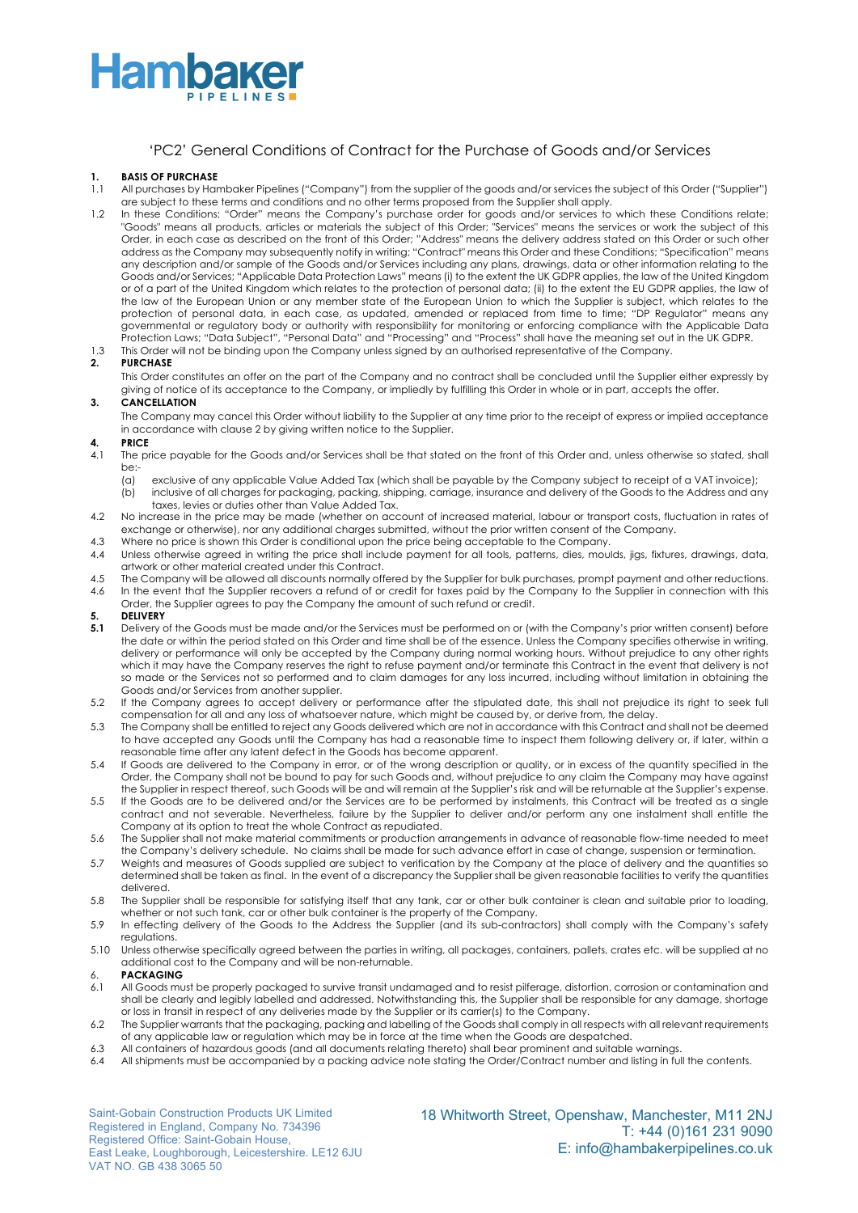

### 'PC2' General Conditions of Contract for the Purchase of Goods and/or Services

#### **1. BASIS OF PURCHASE**

- 1.1 All purchases by Hambaker Pipelines ("Company") from the supplier of the goods and/or services the subject of this Order ("Supplier") are subject to these terms and conditions and no other terms proposed from the Supplier shall apply.
- 1.2 In these Conditions: "Order" means the Company's purchase order for goods and/or services to which these Conditions relate; "Goods" means all products, articles or materials the subject of this Order; "Services" means the services or work the subject of this Order, in each case as described on the front of this Order; "Address" means the delivery address stated on this Order or such other address as the Company may subsequently notify in writing; "Contract" means this Order and these Conditions; "Specification" means any description and/or sample of the Goods and/or Services including any plans, drawings, data or other information relating to the Goods and/or Services; "Applicable Data Protection Laws" means (i) to the extent the UK GDPR applies, the law of the United Kingdom or of a part of the United Kingdom which relates to the protection of personal data; (ii) to the extent the EU GDPR applies, the law of the law of the European Union or any member state of the European Union to which the Supplier is subject, which relates to the protection of personal data, in each case, as updated, amended or replaced from time to time; "DP Regulator" means any governmental or regulatory body or authority with responsibility for monitoring or enforcing compliance with the Applicable Data Protection Laws; "Data Subject", "Personal Data" and "Processing" and "Process" shall have the meaning set out in the UK GDPR.
- 1.3 This Order will not be binding upon the Company unless signed by an authorised representative of the Company.

#### **2. PURCHASE**

This Order constitutes an offer on the part of the Company and no contract shall be concluded until the Supplier either expressly by giving of notice of its acceptance to the Company, or impliedly by fulfilling this Order in whole or in part, accepts the offer.

#### **3. CANCELLATION**

The Company may cancel this Order without liability to the Supplier at any time prior to the receipt of express or implied acceptance in accordance with clause 2 by giving written notice to the Supplier.

#### **4. PRICE**

- 4.1 The price payable for the Goods and/or Services shall be that stated on the front of this Order and, unless otherwise so stated, shall be:-
	- (a) exclusive of any applicable Value Added Tax (which shall be payable by the Company subject to receipt of a VAT invoice); (b) inclusive of all charges for packaging, packing, shipping, carriage, insurance and delivery of the Goods to the Address and any
- taxes, levies or duties other than Value Added Tax. 4.2 No increase in the price may be made (whether on account of increased material, labour or transport costs, fluctuation in rates of
- exchange or otherwise), nor any additional charges submitted, without the prior written consent of the Company.
- 4.3 Where no price is shown this Order is conditional upon the price being acceptable to the Company.
- 4.4 Unless otherwise agreed in writing the price shall include payment for all tools, patterns, dies, moulds, jigs, fixtures, drawings, data, artwork or other material created under this Contract.
- 4.5 The Company will be allowed all discounts normally offered by the Supplier for bulk purchases, prompt payment and other reductions. 4.6 In the event that the Supplier recovers a refund of or credit for taxes paid by the Company to the Supplier in connection with this Order, the Supplier agrees to pay the Company the amount of such refund or credit.

- **5. DELIVERY 5.1** Delivery of the Goods must be made and/or the Services must be performed on or (with the Company's prior written consent) before the date or within the period stated on this Order and time shall be of the essence. Unless the Company specifies otherwise in writing, delivery or performance will only be accepted by the Company during normal working hours. Without prejudice to any other rights which it may have the Company reserves the right to refuse payment and/or terminate this Contract in the event that delivery is not so made or the Services not so performed and to claim damages for any loss incurred, including without limitation in obtaining the Goods and/or Services from another supplier.
- 5.2 If the Company agrees to accept delivery or performance after the stipulated date, this shall not prejudice its right to seek full compensation for all and any loss of whatsoever nature, which might be caused by, or derive from, the delay.
- 5.3 The Company shall be entitled to reject any Goods delivered which are not in accordance with this Contract and shall not be deemed to have accepted any Goods until the Company has had a reasonable time to inspect them following delivery or, if later, within a reasonable time after any latent defect in the Goods has become apparent.
- 5.4 If Goods are delivered to the Company in error, or of the wrong description or quality, or in excess of the quantity specified in the Order, the Company shall not be bound to pay for such Goods and, without prejudice to any claim the Company may have against the Supplier in respect thereof, such Goods will be and will remain at the Supplier's risk and will be returnable at the Supplier's expense.
- 5.5 If the Goods are to be delivered and/or the Services are to be performed by instalments, this Contract will be treated as a single contract and not severable. Nevertheless, failure by the Supplier to deliver and/or perform any one instalment shall entitle the Company at its option to treat the whole Contract as repudiated.
- 5.6 The Supplier shall not make material commitments or production arrangements in advance of reasonable flow-time needed to meet the Company's delivery schedule. No claims shall be made for such advance effort in case of change, suspension or termination.
- 5.7 Weights and measures of Goods supplied are subject to verification by the Company at the place of delivery and the quantities so determined shall be taken as final. In the event of a discrepancy the Supplier shall be given reasonable facilities to verify the quantities delivered.
- 5.8 The Supplier shall be responsible for satisfying itself that any tank, car or other bulk container is clean and suitable prior to loading, whether or not such tank, car or other bulk container is the property of the Company.
- 5.9 In effecting delivery of the Goods to the Address the Supplier (and its sub-contractors) shall comply with the Company's safety regulations.
- 5.10 Unless otherwise specifically agreed between the parties in writing, all packages, containers, pallets, crates etc. will be supplied at no additional cost to the Company and will be non-returnable.
- 6. **PACKAGING**
- 6.1 All Goods must be properly packaged to survive transit undamaged and to resist pilferage, distortion, corrosion or contamination and shall be clearly and legibly labelled and addressed. Notwithstanding this, the Supplier shall be responsible for any damage, shortage or loss in transit in respect of any deliveries made by the Supplier or its carrier(s) to the Company.
- 6.2 The Supplier warrants that the packaging, packing and labelling of the Goods shall comply in all respects with all relevant requirements of any applicable law or regulation which may be in force at the time when the Goods are despatched.
- 6.3 All containers of hazardous goods (and all documents relating thereto) shall bear prominent and suitable warnings.
- 6.4 All shipments must be accompanied by a packing advice note stating the Order/Contract number and listing in full the contents.

Saint-Gobain Construction Products UK Limited Registered in England, Company No. 734396 Registered Office: Saint-Gobain House, East Leake, Loughborough, Leicestershire. LE12 6JU VAT NO. GB 438 3065 50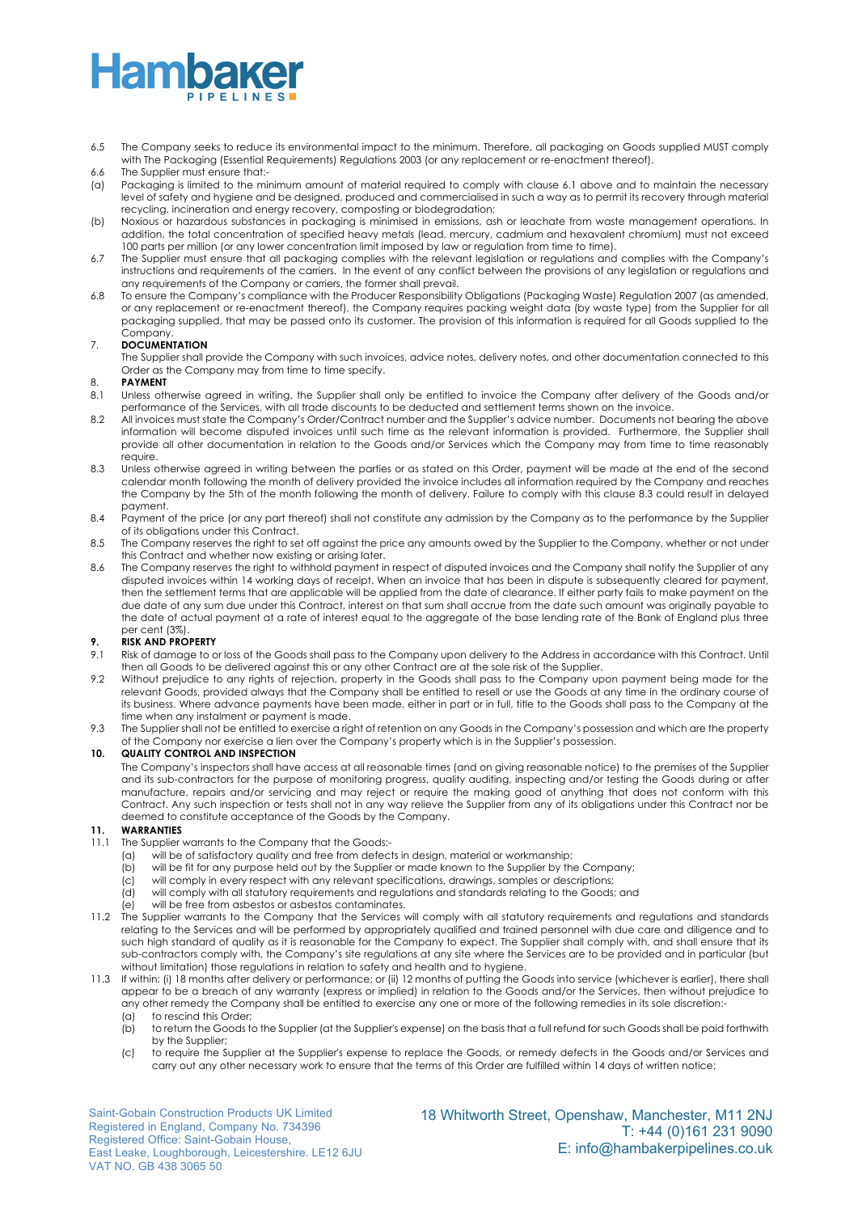- 6.5 The Company seeks to reduce its environmental impact to the minimum. Therefore, all packaging on Goods supplied MUST comply with The Packaging (Essential Requirements) Regulations 2003 (or any replacement or re-enactment thereof).
- 6.6 The Supplier must ensure that:-
- (a) Packaging is limited to the minimum amount of material required to comply with clause 6.1 above and to maintain the necessary level of safety and hygiene and be designed, produced and commercialised in such a way as to permit its recovery through material recycling, incineration and energy recovery, composting or biodegradation;
- (b) Noxious or hazardous substances in packaging is minimised in emissions, ash or leachate from waste management operations. In addition, the total concentration of specified heavy metals (lead, mercury, cadmium and hexavalent chromium) must not exceed 100 parts per million (or any lower concentration limit imposed by law or regulation from time to time).
- 6.7 The Supplier must ensure that all packaging complies with the relevant legislation or regulations and complies with the Company's instructions and requirements of the carriers. In the event of any conflict between the provisions of any legislation or regulations and any requirements of the Company or carriers, the former shall prevail.
- 6.8 To ensure the Company's compliance with the Producer Responsibility Obligations (Packaging Waste) Regulation 2007 (as amended, or any replacement or re-enactment thereof), the Company requires packing weight data (by waste type) from the Supplier for all packaging supplied, that may be passed onto its customer. The provision of this information is required for all Goods supplied to the Company.

#### 7. **DOCUMENTATION**

The Supplier shall provide the Company with such invoices, advice notes, delivery notes, and other documentation connected to this Order as the Company may from time to time specify.

#### 8. **PAYMENT**

- 8.1 Unless otherwise agreed in writing, the Supplier shall only be entitled to invoice the Company after delivery of the Goods and/or performance of the Services, with all trade discounts to be deducted and settlement terms shown on the invoice.
- 8.2 All invoices must state the Company's Order/Contract number and the Supplier's advice number. Documents not bearing the above information will become disputed invoices until such time as the relevant information is provided. Furthermore, the Supplier shall provide all other documentation in relation to the Goods and/or Services which the Company may from time to time reasonably require.
- 8.3 Unless otherwise agreed in writing between the parties or as stated on this Order, payment will be made at the end of the second calendar month following the month of delivery provided the invoice includes all information required by the Company and reaches the Company by the 5th of the month following the month of delivery. Failure to comply with this clause 8.3 could result in delayed payment.
- 8.4 Payment of the price (or any part thereof) shall not constitute any admission by the Company as to the performance by the Supplier of its obligations under this Contract.
- 8.5 The Company reserves the right to set off against the price any amounts owed by the Supplier to the Company, whether or not under this Contract and whether now existing or arising later.
- 8.6 The Company reserves the right to withhold payment in respect of disputed invoices and the Company shall notify the Supplier of any disputed invoices within 14 working days of receipt. When an invoice that has been in dispute is subsequently cleared for payment, then the settlement terms that are applicable will be applied from the date of clearance. If either party fails to make payment on the due date of any sum due under this Contract, interest on that sum shall accrue from the date such amount was originally payable to the date of actual payment at a rate of interest equal to the aggregate of the base lending rate of the Bank of England plus three per cent (3%).

#### **9. RISK AND PROPERTY**

- 9.1 Risk of damage to or loss of the Goods shall pass to the Company upon delivery to the Address in accordance with this Contract. Until then all Goods to be delivered against this or any other Contract are at the sole risk of the Supplier.
- 9.2 Without prejudice to any rights of rejection, property in the Goods shall pass to the Company upon payment being made for the relevant Goods, provided always that the Company shall be entitled to resell or use the Goods at any time in the ordinary course of its business. Where advance payments have been made, either in part or in full, title to the Goods shall pass to the Company at the time when any instalment or payment is made.
- 9.3 The Supplier shall not be entitled to exercise a right of retention on any Goods in the Company's possession and which are the property of the Company nor exercise a lien over the Company's property which is in the Supplier's possession.

#### **10. QUALITY CONTROL AND INSPECTION**

The Company's inspectors shall have access at all reasonable times (and on giving reasonable notice) to the premises of the Supplier and its sub-contractors for the purpose of monitoring progress, quality auditing, inspecting and/or testing the Goods during or after manufacture, repairs and/or servicing and may reject or require the making good of anything that does not conform with this Contract. Any such inspection or tests shall not in any way relieve the Supplier from any of its obligations under this Contract nor be deemed to constitute acceptance of the Goods by the Company.

#### **11. WARRANTIES**

- 11.1 The Supplier warrants to the Company that the Goods:-
	- (a) will be of satisfactory quality and free from defects in design, material or workmanship;
	- (b) will be fit for any purpose held out by the Supplier or made known to the Supplier by the Company;
	- (c) will comply in every respect with any relevant specifications, drawings, samples or descriptions;
	- (d) will comply with all statutory requirements and regulations and standards relating to the Goods; and
	- (e) will be free from asbestos or asbestos contaminates.
- 11.2 The Supplier warrants to the Company that the Services will comply with all statutory requirements and regulations and standards relating to the Services and will be performed by appropriately qualified and trained personnel with due care and diligence and to such high standard of quality as it is reasonable for the Company to expect. The Supplier shall comply with, and shall ensure that its sub-contractors comply with, the Company's site regulations at any site where the Services are to be provided and in particular (but without limitation) those regulations in relation to safety and health and to hygiene.
- 11.3 If within: (i) 18 months after delivery or performance; or (ii) 12 months of putting the Goods into service (whichever is earlier), there shall appear to be a breach of any warranty (express or implied) in relation to the Goods and/or the Services, then without prejudice to any other remedy the Company shall be entitled to exercise any one or more of the following remedies in its sole discretion:-
	- (a) to rescind this Order;
	- (b) to return the Goods to the Supplier (at the Supplier's expense) on the basis that a full refund for such Goods shall be paid forthwith by the Supplier;
	- (c) to require the Supplier at the Supplier's expense to replace the Goods, or remedy defects in the Goods and/or Services and carry out any other necessary work to ensure that the terms of this Order are fulfilled within 14 days of written notice;

Saint-Gobain Construction Products UK Limited Registered in England, Company No. 734396 Registered Office: Saint-Gobain House, East Leake, Loughborough, Leicestershire. LE12 6JU VAT NO. GB 438 3065 50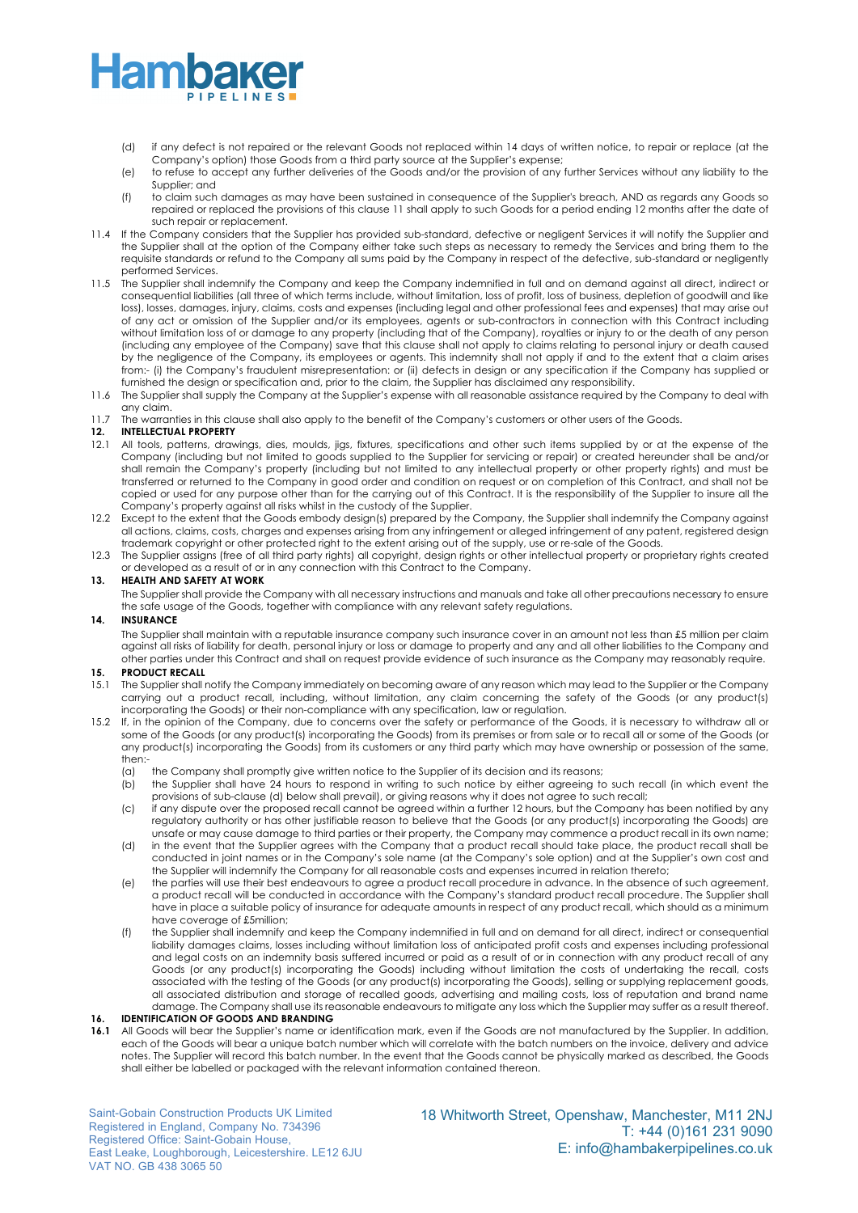- (d) if any defect is not repaired or the relevant Goods not replaced within 14 days of written notice, to repair or replace (at the Company's option) those Goods from a third party source at the Supplier's expense;
- (e) to refuse to accept any further deliveries of the Goods and/or the provision of any further Services without any liability to the Supplier; and
- (f) to claim such damages as may have been sustained in consequence of the Supplier's breach, AND as regards any Goods so repaired or replaced the provisions of this clause 11 shall apply to such Goods for a period ending 12 months after the date of such repair or replacement.
- 11.4 If the Company considers that the Supplier has provided sub-standard, defective or negligent Services it will notify the Supplier and the Supplier shall at the option of the Company either take such steps as necessary to remedy the Services and bring them to the requisite standards or refund to the Company all sums paid by the Company in respect of the defective, sub-standard or negligently performed Services.
- 11.5 The Supplier shall indemnify the Company and keep the Company indemnified in full and on demand against all direct, indirect or consequential liabilities (all three of which terms include, without limitation, loss of profit, loss of business, depletion of goodwill and like loss), losses, damages, injury, claims, costs and expenses (including legal and other professional fees and expenses) that may arise out of any act or omission of the Supplier and/or its employees, agents or sub-contractors in connection with this Contract including without limitation loss of or damage to any property (including that of the Company), royalties or injury to or the death of any person (including any employee of the Company) save that this clause shall not apply to claims relating to personal injury or death caused by the negligence of the Company, its employees or agents. This indemnity shall not apply if and to the extent that a claim arises from:- (i) the Company's fraudulent misrepresentation: or (ii) defects in design or any specification if the Company has supplied or furnished the design or specification and, prior to the claim, the Supplier has disclaimed any responsibility.
- 11.6 The Supplier shall supply the Company at the Supplier's expense with all reasonable assistance required by the Company to deal with any claim.
- 11.7 The warranties in this clause shall also apply to the benefit of the Company's customers or other users of the Goods.

#### **12. INTELLECTUAL PROPERTY**

- 12.1 All tools, patterns, drawings, dies, moulds, jigs, fixtures, specifications and other such items supplied by or at the expense of the Company (including but not limited to goods supplied to the Supplier for servicing or repair) or created hereunder shall be and/or shall remain the Company's property (including but not limited to any intellectual property or other property rights) and must be transferred or returned to the Company in good order and condition on request or on completion of this Contract, and shall not be copied or used for any purpose other than for the carrying out of this Contract. It is the responsibility of the Supplier to insure all the Company's property against all risks whilst in the custody of the Supplier.
- 12.2 Except to the extent that the Goods embody design(s) prepared by the Company, the Supplier shall indemnify the Company against all actions, claims, costs, charges and expenses arising from any infringement or alleged infringement of any patent, registered design trademark copyright or other protected right to the extent arising out of the supply, use or re-sale of the Goods.
- 12.3 The Supplier assigns (free of all third party rights) all copyright, design rights or other intellectual property or proprietary rights created or developed as a result of or in any connection with this Contract to the Company.

#### **13. HEALTH AND SAFETY AT WORK**

The Supplier shall provide the Company with all necessary instructions and manuals and take all other precautions necessary to ensure the safe usage of the Goods, together with compliance with any relevant safety regulations.

#### **14. INSURANCE**

The Supplier shall maintain with a reputable insurance company such insurance cover in an amount not less than £5 million per claim against all risks of liability for death, personal injury or loss or damage to property and any and all other liabilities to the Company and other parties under this Contract and shall on request provide evidence of such insurance as the Company may reasonably require.

#### **15. PRODUCT RECALL**

- 15.1 The Supplier shall notify the Company immediately on becoming aware of any reason which may lead to the Supplier or the Company carrying out a product recall, including, without limitation, any claim concerning the safety of the Goods (or any product(s) incorporating the Goods) or their non-compliance with any specification, law or regulation.
- 15.2 If, in the opinion of the Company, due to concerns over the safety or performance of the Goods, it is necessary to withdraw all or some of the Goods (or any product(s) incorporating the Goods) from its premises or from sale or to recall all or some of the Goods (or any product(s) incorporating the Goods) from its customers or any third party which may have ownership or possession of the same, then:
	- (a) the Company shall promptly give written notice to the Supplier of its decision and its reasons;<br>(b) the Supplier shall have 24 hours to respond in writing to such notice by either agreeing to
	- the Supplier shall have 24 hours to respond in writing to such notice by either agreeing to such recall (in which event the provisions of sub-clause (d) below shall prevail), or giving reasons why it does not agree to such recall;
	- (c) if any dispute over the proposed recall cannot be agreed within a further 12 hours, but the Company has been notified by any regulatory authority or has other justifiable reason to believe that the Goods (or any product(s) incorporating the Goods) are unsafe or may cause damage to third parties or their property, the Company may commence a product recall in its own name;
	- (d) in the event that the Supplier agrees with the Company that a product recall should take place, the product recall shall be conducted in joint names or in the Company's sole name (at the Company's sole option) and at the Supplier's own cost and the Supplier will indemnify the Company for all reasonable costs and expenses incurred in relation thereto;
	- (e) the parties will use their best endeavours to agree a product recall procedure in advance. In the absence of such agreement, a product recall will be conducted in accordance with the Company's standard product recall procedure. The Supplier shall have in place a suitable policy of insurance for adequate amounts in respect of any product recall, which should as a minimum have coverage of £5million;
	- (f) the Supplier shall indemnify and keep the Company indemnified in full and on demand for all direct, indirect or consequential liability damages claims, losses including without limitation loss of anticipated profit costs and expenses including professional and legal costs on an indemnity basis suffered incurred or paid as a result of or in connection with any product recall of any Goods (or any product(s) incorporating the Goods) including without limitation the costs of undertaking the recall, costs associated with the testing of the Goods (or any product(s) incorporating the Goods), selling or supplying replacement goods, all associated distribution and storage of recalled goods, advertising and mailing costs, loss of reputation and brand name damage. The Company shall use its reasonable endeavours to mitigate any loss which the Supplier may suffer as a result thereof.

#### **16. IDENTIFICATION OF GOODS AND BRANDING**

**16.1** All Goods will bear the Supplier's name or identification mark, even if the Goods are not manufactured by the Supplier. In addition, each of the Goods will bear a unique batch number which will correlate with the batch numbers on the invoice, delivery and advice notes. The Supplier will record this batch number. In the event that the Goods cannot be physically marked as described, the Goods shall either be labelled or packaged with the relevant information contained thereon.

Saint-Gobain Construction Products UK Limited Registered in England, Company No. 734396 Registered Office: Saint-Gobain House, East Leake, Loughborough, Leicestershire. LE12 6JU VAT NO. GB 438 3065 50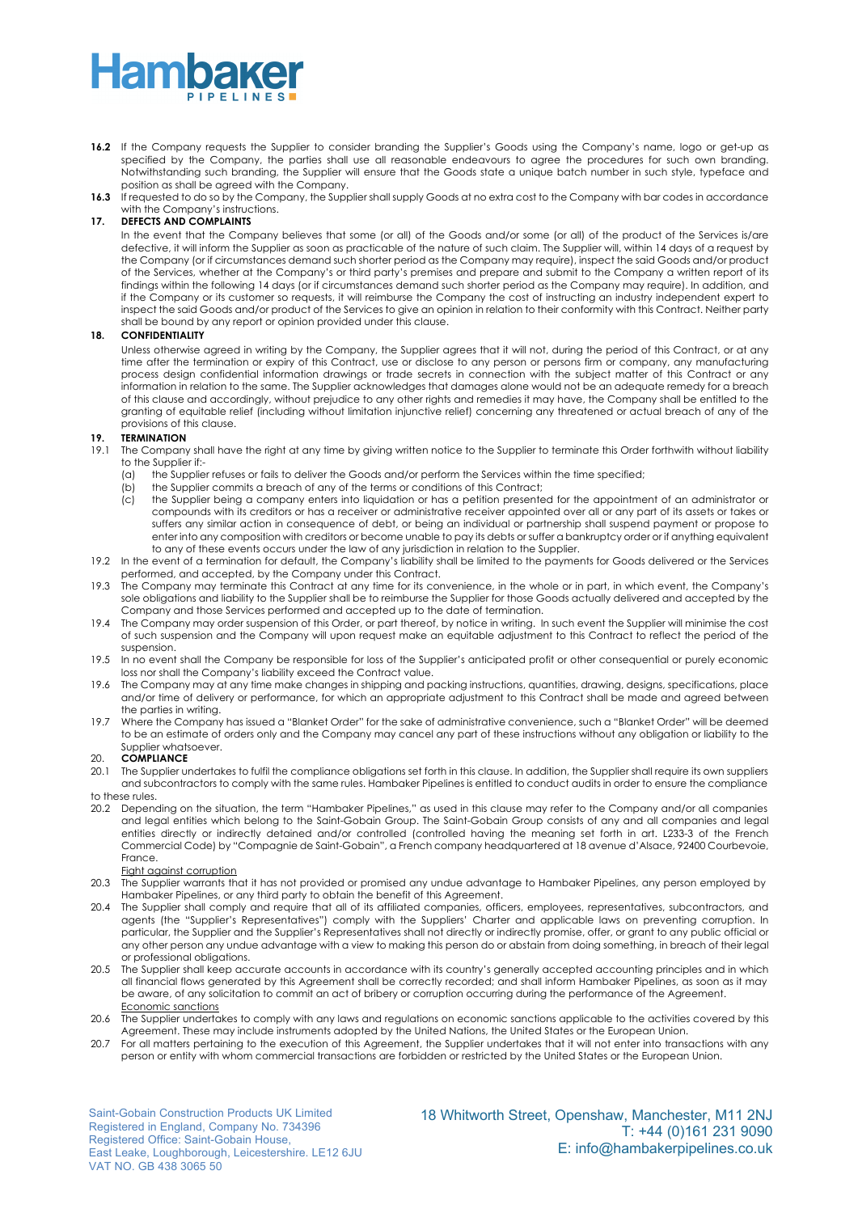- **16.2** If the Company requests the Supplier to consider branding the Supplier's Goods using the Company's name, logo or get-up as specified by the Company, the parties shall use all reasonable endeavours to agree the procedures for such own branding. Notwithstanding such branding, the Supplier will ensure that the Goods state a unique batch number in such style, typeface and position as shall be agreed with the Company.
- **16.3** If requested to do so by the Company, the Supplier shall supply Goods at no extra cost to the Company with bar codes in accordance with the Company's instructions.

#### **17. DEFECTS AND COMPLAINTS**

In the event that the Company believes that some (or all) of the Goods and/or some (or all) of the product of the Services is/are defective, it will inform the Supplier as soon as practicable of the nature of such claim. The Supplier will, within 14 days of a request by the Company (or if circumstances demand such shorter period as the Company may require), inspect the said Goods and/or product of the Services, whether at the Company's or third party's premises and prepare and submit to the Company a written report of its findings within the following 14 days (or if circumstances demand such shorter period as the Company may require). In addition, and if the Company or its customer so requests, it will reimburse the Company the cost of instructing an industry independent expert to inspect the said Goods and/or product of the Services to give an opinion in relation to their conformity with this Contract. Neither party shall be bound by any report or opinion provided under this clause.

#### **18. CONFIDENTIALITY**

Unless otherwise agreed in writing by the Company, the Supplier agrees that it will not, during the period of this Contract, or at any time after the termination or expiry of this Contract, use or disclose to any person or persons firm or company, any manufacturing process design confidential information drawings or trade secrets in connection with the subject matter of this Contract or any information in relation to the same. The Supplier acknowledges that damages alone would not be an adequate remedy for a breach of this clause and accordingly, without prejudice to any other rights and remedies it may have, the Company shall be entitled to the granting of equitable relief (including without limitation injunctive relief) concerning any threatened or actual breach of any of the provisions of this clause.

### **19. TERMINATION**

- The Company shall have the right at any time by giving written notice to the Supplier to terminate this Order forthwith without liability to the Supplier if:-
	- (a) the Supplier refuses or fails to deliver the Goods and/or perform the Services within the time specified;
	- (b) the Supplier commits a breach of any of the terms or conditions of this Contract;
	- (c) the Supplier being a company enters into liquidation or has a petition presented for the appointment of an administrator or compounds with its creditors or has a receiver or administrative receiver appointed over all or any part of its assets or takes or suffers any similar action in consequence of debt, or being an individual or partnership shall suspend payment or propose to enter into any composition with creditors or become unable to pay its debts or suffer a bankruptcy order or if anything equivalent to any of these events occurs under the law of any jurisdiction in relation to the Supplier.
- 19.2 In the event of a termination for default, the Company's liability shall be limited to the payments for Goods delivered or the Services performed, and accepted, by the Company under this Contract.
- 19.3 The Company may terminate this Contract at any time for its convenience, in the whole or in part, in which event, the Company's sole obligations and liability to the Supplier shall be to reimburse the Supplier for those Goods actually delivered and accepted by the Company and those Services performed and accepted up to the date of termination.
- 19.4 The Company may order suspension of this Order, or part thereof, by notice in writing. In such event the Supplier will minimise the cost of such suspension and the Company will upon request make an equitable adjustment to this Contract to reflect the period of the suspension.
- 19.5 In no event shall the Company be responsible for loss of the Supplier's anticipated profit or other consequential or purely economic loss nor shall the Company's liability exceed the Contract value.
- 19.6 The Company may at any time make changes in shipping and packing instructions, quantities, drawing, designs, specifications, place and/or time of delivery or performance, for which an appropriate adjustment to this Contract shall be made and agreed between the parties in writing.
- 19.7 Where the Company has issued a "Blanket Order" for the sake of administrative convenience, such a "Blanket Order" will be deemed to be an estimate of orders only and the Company may cancel any part of these instructions without any obligation or liability to the Supplier whatsoever.

#### 20. **COMPLIANCE**

- 20.1 The Supplier undertakes to fulfil the compliance obligations set forth in this clause. In addition, the Supplier shall require its own suppliers and subcontractors to comply with the same rules. Hambaker Pipelines is entitled to conduct audits in order to ensure the compliance to these rules.
- 20.2 Depending on the situation, the term "Hambaker Pipelines," as used in this clause may refer to the Company and/or all companies and legal entities which belong to the Saint-Gobain Group. The Saint-Gobain Group consists of any and all companies and legal entities directly or indirectly detained and/or controlled (controlled having the meaning set forth in art. L233-3 of the French Commercial Code) by "Compagnie de Saint-Gobain", a French company headquartered at 18 avenue d'Alsace, 92400 Courbevoie, France.

#### Fight against corruption

- 20.3 The Supplier warrants that it has not provided or promised any undue advantage to Hambaker Pipelines, any person employed by Hambaker Pipelines, or any third party to obtain the benefit of this Agreement.
- 20.4 The Supplier shall comply and require that all of its affiliated companies, officers, employees, representatives, subcontractors, and agents (the "Supplier's Representatives") comply with the Suppliers' Charter and applicable laws on preventing corruption. In particular, the Supplier and the Supplier's Representatives shall not directly or indirectly promise, offer, or grant to any public official or any other person any undue advantage with a view to making this person do or abstain from doing something, in breach of their legal or professional obligations.
- 20.5 The Supplier shall keep accurate accounts in accordance with its country's generally accepted accounting principles and in which all financial flows generated by this Agreement shall be correctly recorded; and shall inform Hambaker Pipelines, as soon as it may be aware, of any solicitation to commit an act of bribery or corruption occurring during the performance of the Agreement. Economic sanctions
- 20.6 The Supplier undertakes to comply with any laws and regulations on economic sanctions applicable to the activities covered by this Agreement. These may include instruments adopted by the United Nations, the United States or the European Union.
- 20.7 For all matters pertaining to the execution of this Agreement, the Supplier undertakes that it will not enter into transactions with any person or entity with whom commercial transactions are forbidden or restricted by the United States or the European Union.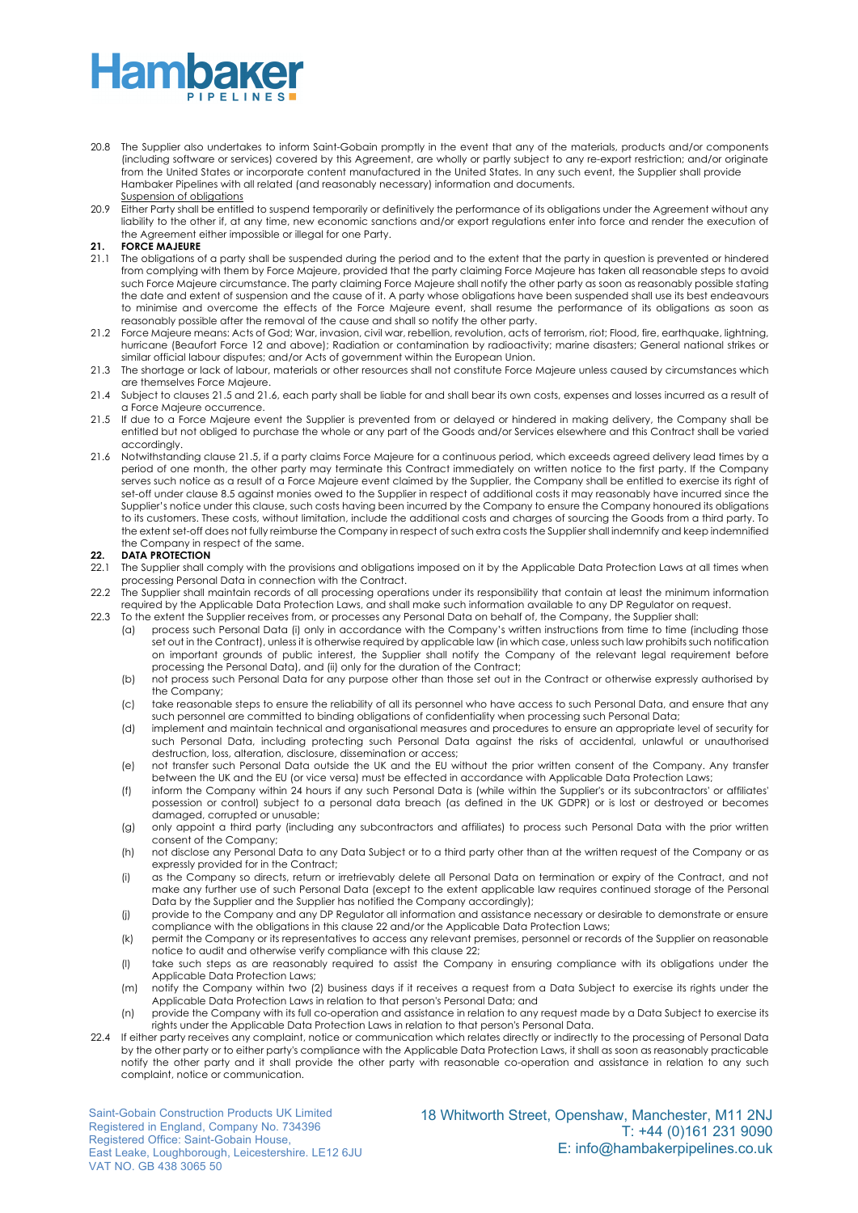- 20.8 The Supplier also undertakes to inform Saint-Gobain promptly in the event that any of the materials, products and/or components (including software or services) covered by this Agreement, are wholly or partly subject to any re-export restriction; and/or originate from the United States or incorporate content manufactured in the United States. In any such event, the Supplier shall provide Hambaker Pipelines with all related (and reasonably necessary) information and documents. Suspension of obligations
- 20.9 Either Party shall be entitled to suspend temporarily or definitively the performance of its obligations under the Agreement without any liability to the other if, at any time, new economic sanctions and/or export regulations enter into force and render the execution of the Agreement either impossible or illegal for one Party.

### **21. FORCE MAJEURE**<br>21.1 The obligations of

- The obligations of a party shall be suspended during the period and to the extent that the party in question is prevented or hindered from complying with them by Force Majeure, provided that the party claiming Force Majeure has taken all reasonable steps to avoid such Force Majeure circumstance. The party claiming Force Majeure shall notify the other party as soon as reasonably possible stating the date and extent of suspension and the cause of it. A party whose obligations have been suspended shall use its best endeavours to minimise and overcome the effects of the Force Majeure event, shall resume the performance of its obligations as soon as reasonably possible after the removal of the cause and shall so notify the other party.
- 21.2 Force Majeure means: Acts of God; War, invasion, civil war, rebellion, revolution, acts of terrorism, riot; Flood, fire, earthquake, lightning, hurricane (Beaufort Force 12 and above); Radiation or contamination by radioactivity; marine disasters; General national strikes or similar official labour disputes; and/or Acts of government within the European Union.
- 21.3 The shortage or lack of labour, materials or other resources shall not constitute Force Majeure unless caused by circumstances which are themselves Force Majeure.
- 21.4 Subject to clauses 21.5 and 21.6, each party shall be liable for and shall bear its own costs, expenses and losses incurred as a result of a Force Majeure occurrence.
- 21.5 If due to a Force Majeure event the Supplier is prevented from or delayed or hindered in making delivery, the Company shall be entitled but not obliged to purchase the whole or any part of the Goods and/or Services elsewhere and this Contract shall be varied accordingly.
- 21.6 Notwithstanding clause 21.5, if a party claims Force Majeure for a continuous period, which exceeds agreed delivery lead times by a period of one month, the other party may terminate this Contract immediately on written notice to the first party. If the Company serves such notice as a result of a Force Majeure event claimed by the Supplier, the Company shall be entitled to exercise its right of set-off under clause 8.5 against monies owed to the Supplier in respect of additional costs it may reasonably have incurred since the Supplier's notice under this clause, such costs having been incurred by the Company to ensure the Company honoured its obligations to its customers. These costs, without limitation, include the additional costs and charges of sourcing the Goods from a third party. To the extent set-off does not fully reimburse the Company in respect of such extra costs the Supplier shall indemnify and keep indemnified the Company in respect of the same.

#### **22. DATA PROTECTION**

- 22.1 The Supplier shall comply with the provisions and obligations imposed on it by the Applicable Data Protection Laws at all times when processing Personal Data in connection with the Contract.
- 22.2 The Supplier shall maintain records of all processing operations under its responsibility that contain at least the minimum information required by the Applicable Data Protection Laws, and shall make such information available to any DP Regulator on request.
- 22.3 To the extent the Supplier receives from, or processes any Personal Data on behalf of, the Company, the Supplier shall:
	- (a) process such Personal Data (i) only in accordance with the Company's written instructions from time to time (including those set out in the Contract), unless it is otherwise required by applicable law (in which case, unless such law prohibits such notification on important grounds of public interest, the Supplier shall notify the Company of the relevant legal requirement before processing the Personal Data), and (ii) only for the duration of the Contract;
	- (b) not process such Personal Data for any purpose other than those set out in the Contract or otherwise expressly authorised by the Company;
	- (c) take reasonable steps to ensure the reliability of all its personnel who have access to such Personal Data, and ensure that any such personnel are committed to binding obligations of confidentiality when processing such Personal Data;
	- (d) implement and maintain technical and organisational measures and procedures to ensure an appropriate level of security for such Personal Data, including protecting such Personal Data against the risks of accidental, unlawful or unauthorised destruction, loss, alteration, disclosure, dissemination or access;
	- (e) not transfer such Personal Data outside the UK and the EU without the prior written consent of the Company. Any transfer between the UK and the EU (or vice versa) must be effected in accordance with Applicable Data Protection Laws;
	- (f) inform the Company within 24 hours if any such Personal Data is (while within the Supplier's or its subcontractors' or affiliates' possession or control) subject to a personal data breach (as defined in the UK GDPR) or is lost or destroyed or becomes damaged, corrupted or unusable;
	- (g) only appoint a third party (including any subcontractors and affiliates) to process such Personal Data with the prior written consent of the Company;
	- (h) not disclose any Personal Data to any Data Subject or to a third party other than at the written request of the Company or as expressly provided for in the Contract;
	- (i) as the Company so directs, return or irretrievably delete all Personal Data on termination or expiry of the Contract, and not make any further use of such Personal Data (except to the extent applicable law requires continued storage of the Personal Data by the Supplier and the Supplier has notified the Company accordingly);
	- (j) provide to the Company and any DP Regulator all information and assistance necessary or desirable to demonstrate or ensure compliance with the obligations in this clause 22 and/or the Applicable Data Protection Laws;
	- (k) permit the Company or its representatives to access any relevant premises, personnel or records of the Supplier on reasonable notice to audit and otherwise verify compliance with this clause 22;
	- (l) take such steps as are reasonably required to assist the Company in ensuring compliance with its obligations under the Applicable Data Protection Laws;
	- (m) notify the Company within two (2) business days if it receives a request from a Data Subject to exercise its rights under the Applicable Data Protection Laws in relation to that person's Personal Data; and
	- (n) provide the Company with its full co-operation and assistance in relation to any request made by a Data Subject to exercise its rights under the Applicable Data Protection Laws in relation to that person's Personal Data.
- 22.4 If either party receives any complaint, notice or communication which relates directly or indirectly to the processing of Personal Data by the other party or to either party's compliance with the Applicable Data Protection Laws, it shall as soon as reasonably practicable notify the other party and it shall provide the other party with reasonable co-operation and assistance in relation to any such complaint, notice or communication.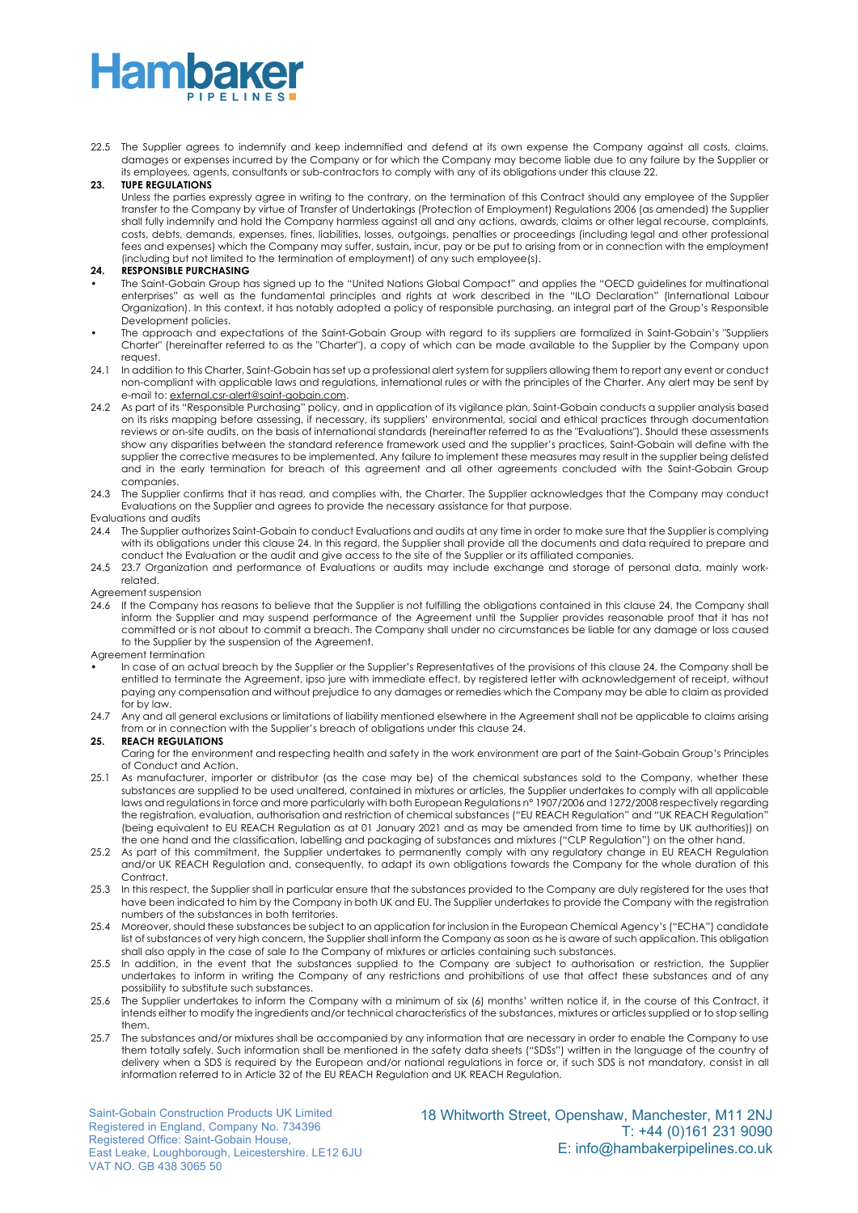### **Hamba**

22.5 The Supplier agrees to indemnify and keep indemnified and defend at its own expense the Company against all costs, claims, damages or expenses incurred by the Company or for which the Company may become liable due to any failure by the Supplier or its employees, agents, consultants or sub-contractors to comply with any of its obligations under this clause 22.

#### **23. TUPE REGULATIONS**

Unless the parties expressly agree in writing to the contrary, on the termination of this Contract should any employee of the Supplier transfer to the Company by virtue of Transfer of Undertakings (Protection of Employment) Regulations 2006 (as amended) the Supplier shall fully indemnify and hold the Company harmless against all and any actions, awards, claims or other legal recourse, complaints, costs, debts, demands, expenses, fines, liabilities, losses, outgoings, penalties or proceedings (including legal and other professional fees and expenses) which the Company may suffer, sustain, incur, pay or be put to arising from or in connection with the employment (including but not limited to the termination of employment) of any such employee(s).

#### **24. RESPONSIBLE PURCHASING**

- The Saint-Gobain Group has signed up to the "United Nations Global Compact" and applies the "OECD guidelines for multinational enterprises" as well as the fundamental principles and rights at work described in the "ILO Declaration" (International Labour Organization). In this context, it has notably adopted a policy of responsible purchasing, an integral part of the Group's Responsible Development policies.
- The approach and expectations of the Saint-Gobain Group with regard to its suppliers are formalized in Saint-Gobain's "Suppliers Charter" (hereinafter referred to as the "Charter"), a copy of which can be made available to the Supplier by the Company upon request.
- 24.1 In addition to this Charter, Saint-Gobain has set up a professional alert system for suppliers allowing them to report any event or conduct non-compliant with applicable laws and regulations, international rules or with the principles of the Charter. Any alert may be sent by e-mail to: external.csr-alert@saint-gobain.com.
- 24.2 As part of its "Responsible Purchasing" policy, and in application of its vigilance plan, Saint-Gobain conducts a supplier analysis based on its risks mapping before assessing, if necessary, its suppliers' environmental, social and ethical practices through documentation reviews or on-site audits, on the basis of international standards (hereinafter referred to as the "Evaluations"). Should these assessments show any disparities between the standard reference framework used and the supplier's practices, Saint-Gobain will define with the supplier the corrective measures to be implemented. Any failure to implement these measures may result in the supplier being delisted and in the early termination for breach of this agreement and all other agreements concluded with the Saint-Gobain Group companies.
- 24.3 The Supplier confirms that it has read, and complies with, the Charter. The Supplier acknowledges that the Company may conduct Evaluations on the Supplier and agrees to provide the necessary assistance for that purpose.

#### Evaluations and audits

- 24.4 The Supplier authorizes Saint-Gobain to conduct Evaluations and audits at any time in order to make sure that the Supplier is complying with its obligations under this clause 24. In this regard, the Supplier shall provide all the documents and data required to prepare and conduct the Evaluation or the audit and give access to the site of the Supplier or its affiliated companies.
- 24.5 23.7 Organization and performance of Evaluations or audits may include exchange and storage of personal data, mainly workrelated.

#### Agreement suspension

24.6 If the Company has reasons to believe that the Supplier is not fulfilling the obligations contained in this clause 24, the Company shall inform the Supplier and may suspend performance of the Agreement until the Supplier provides reasonable proof that it has not committed or is not about to commit a breach. The Company shall under no circumstances be liable for any damage or loss caused to the Supplier by the suspension of the Agreement.

#### Agreement termination

• In case of an actual breach by the Supplier or the Supplier's Representatives of the provisions of this clause 24, the Company shall be entitled to terminate the Agreement, ipso jure with immediate effect, by registered letter with acknowledgement of receipt, without paying any compensation and without prejudice to any damages or remedies which the Company may be able to claim as provided for by law.

24.7 Any and all general exclusions or limitations of liability mentioned elsewhere in the Agreement shall not be applicable to claims arising from or in connection with the Supplier's breach of obligations under this clause 24.

#### **25. REACH REGULATIONS**

Caring for the environment and respecting health and safety in the work environment are part of the Saint-Gobain Group's Principles of Conduct and Action.

- 25.1 As manufacturer, importer or distributor (as the case may be) of the chemical substances sold to the Company, whether these substances are supplied to be used unaltered, contained in mixtures or articles, the Supplier undertakes to comply with all applicable laws and regulations in force and more particularly with both European Regulations n° 1907/2006 and 1272/2008 respectively regarding the registration, evaluation, authorisation and restriction of chemical substances ("EU REACH Regulation" and "UK REACH Regulation" (being equivalent to EU REACH Regulation as at 01 January 2021 and as may be amended from time to time by UK authorities)) on the one hand and the classification, labelling and packaging of substances and mixtures ("CLP Regulation") on the other hand.
- 25.2 As part of this commitment, the Supplier undertakes to permanently comply with any regulatory change in EU REACH Regulation and/or UK REACH Regulation and, consequently, to adapt its own obligations towards the Company for the whole duration of this Contract.
- 25.3 In this respect, the Supplier shall in particular ensure that the substances provided to the Company are duly registered for the uses that have been indicated to him by the Company in both UK and EU. The Supplier undertakes to provide the Company with the registration numbers of the substances in both territories.
- 25.4 Moreover, should these substances be subject to an application for inclusion in the European Chemical Agency's ("ECHA") candidate list of substances of very high concern, the Supplier shall inform the Company as soon as he is aware of such application. This obligation shall also apply in the case of sale to the Company of mixtures or articles containing such substances.
- 25.5 In addition, in the event that the substances supplied to the Company are subject to authorisation or restriction, the Supplier undertakes to inform in writing the Company of any restrictions and prohibitions of use that affect these substances and of any possibility to substitute such substances.
- 25.6 The Supplier undertakes to inform the Company with a minimum of six (6) months' written notice if, in the course of this Contract, it intends either to modify the ingredients and/or technical characteristics of the substances, mixtures or articles supplied or to stop selling them.
- 25.7 The substances and/or mixtures shall be accompanied by any information that are necessary in order to enable the Company to use them totally safely. Such information shall be mentioned in the safety data sheets ("SDSs") written in the language of the country of delivery when a SDS is required by the European and/or national regulations in force or, if such SDS is not mandatory, consist in all information referred to in Article 32 of the EU REACH Regulation and UK REACH Regulation.

Saint-Gobain Construction Products UK Limited Registered in England, Company No. 734396 Registered Office: Saint-Gobain House, East Leake, Loughborough, Leicestershire. LE12 6JU VAT NO. GB 438 3065 50